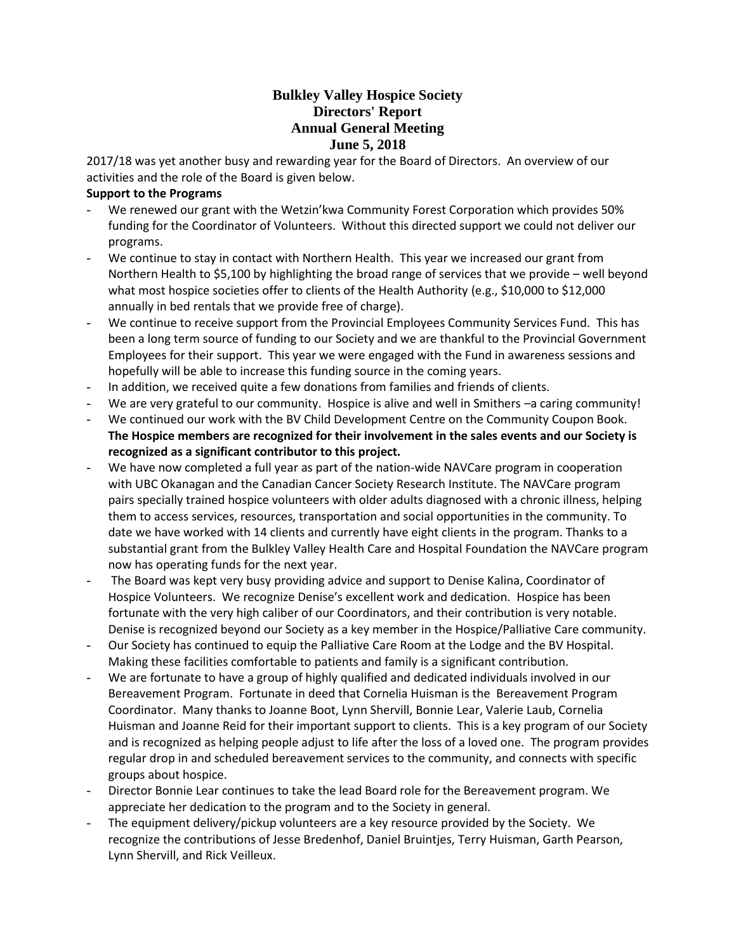# **Bulkley Valley Hospice Society Directors' Report Annual General Meeting June 5, 2018**

2017/18 was yet another busy and rewarding year for the Board of Directors. An overview of our activities and the role of the Board is given below.

## **Support to the Programs**

- We renewed our grant with the Wetzin'kwa Community Forest Corporation which provides 50% funding for the Coordinator of Volunteers. Without this directed support we could not deliver our programs.
- We continue to stay in contact with Northern Health. This year we increased our grant from Northern Health to \$5,100 by highlighting the broad range of services that we provide – well beyond what most hospice societies offer to clients of the Health Authority (e.g., \$10,000 to \$12,000 annually in bed rentals that we provide free of charge).
- We continue to receive support from the Provincial Employees Community Services Fund. This has been a long term source of funding to our Society and we are thankful to the Provincial Government Employees for their support. This year we were engaged with the Fund in awareness sessions and hopefully will be able to increase this funding source in the coming years.
- In addition, we received quite a few donations from families and friends of clients.
- We are very grateful to our community. Hospice is alive and well in Smithers –a caring community!
- We continued our work with the BV Child Development Centre on the Community Coupon Book. **The Hospice members are recognized for their involvement in the sales events and our Society is recognized as a significant contributor to this project.**
- We have now completed a full year as part of the nation-wide NAVCare program in cooperation with UBC Okanagan and the Canadian Cancer Society Research Institute. The NAVCare program pairs specially trained hospice volunteers with older adults diagnosed with a chronic illness, helping them to access services, resources, transportation and social opportunities in the community. To date we have worked with 14 clients and currently have eight clients in the program. Thanks to a substantial grant from the Bulkley Valley Health Care and Hospital Foundation the NAVCare program now has operating funds for the next year.
- The Board was kept very busy providing advice and support to Denise Kalina, Coordinator of Hospice Volunteers. We recognize Denise's excellent work and dedication. Hospice has been fortunate with the very high caliber of our Coordinators, and their contribution is very notable. Denise is recognized beyond our Society as a key member in the Hospice/Palliative Care community.
- Our Society has continued to equip the Palliative Care Room at the Lodge and the BV Hospital. Making these facilities comfortable to patients and family is a significant contribution.
- We are fortunate to have a group of highly qualified and dedicated individuals involved in our Bereavement Program. Fortunate in deed that Cornelia Huisman is the Bereavement Program Coordinator. Many thanks to Joanne Boot, Lynn Shervill, Bonnie Lear, Valerie Laub, Cornelia Huisman and Joanne Reid for their important support to clients. This is a key program of our Society and is recognized as helping people adjust to life after the loss of a loved one. The program provides regular drop in and scheduled bereavement services to the community, and connects with specific groups about hospice.
- Director Bonnie Lear continues to take the lead Board role for the Bereavement program. We appreciate her dedication to the program and to the Society in general.
- The equipment delivery/pickup volunteers are a key resource provided by the Society. We recognize the contributions of Jesse Bredenhof, Daniel Bruintjes, Terry Huisman, Garth Pearson, Lynn Shervill, and Rick Veilleux.